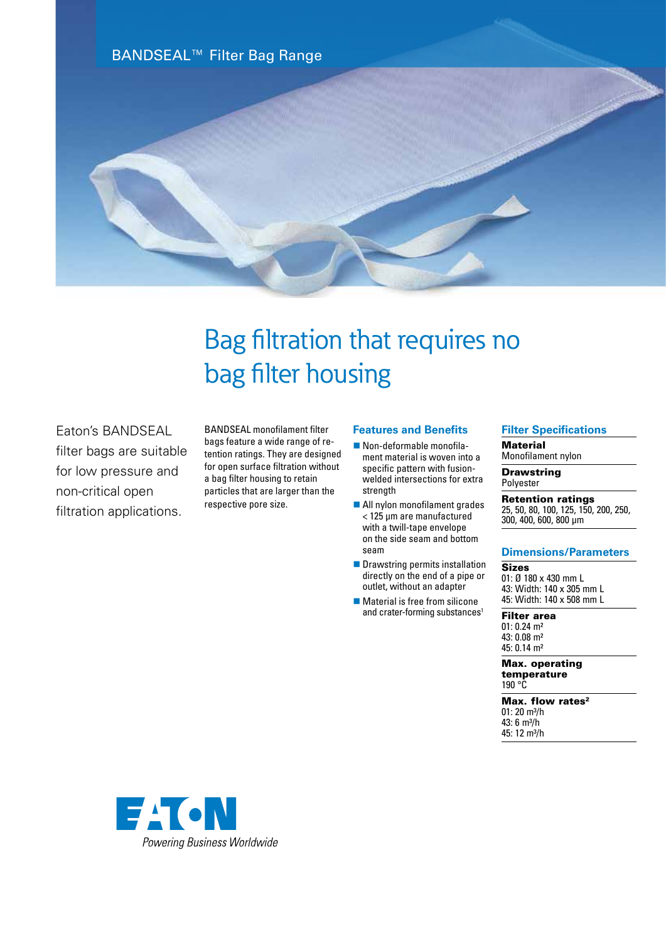BANDSEAL™ Filter Bag Range



# Bag filtration that requires no bag filter housing

Eaton's BANDSEAL filter bags are suitable for low pressure and non-critical open filtration applications.

BANDSEAL monofilament filter bags feature a wide range of retention ratings. They are designed for open surface filtration without a bag filter housing to retain particles that are larger than the respective pore size.

### **Features and Benefits**

- $\blacksquare$  Non-deformable monofilament material is woven into a specific pattern with fusionwelded intersections for extra strength
- All nylon monofilament grades < 125 µm are manufactured with a twill-tape envelope on the side seam and bottom seam
- $\blacksquare$  Drawstring permits installation directly on the end of a pipe or outlet, without an adapter
- $\blacksquare$  Material is free from silicone and crater-forming substances<sup>1</sup>

## **Filter Specifications**

**Material** 

Monofilament nylon

**Drawstring** Polyester

Retention ratings 25, 50, 80, 100, 125, 150, 200, 250, 300, 400, 600, 800 µm

#### **Dimensions/Parameters**

Sizes 01: Ø 180 x 430 mm L 43: Width: 140 x 305 mm L 45: Width: 140 x 508 mm L

Filter area 01: 0.24 m² 43: 0.08 m² 45: 0.14 m²

Max. operating temperature 190 °C

Max. flow rates<sup>2</sup> 01: 20 m<sup>3</sup>/h 43: 6 m³/h 45: 12 m<sup>3</sup>/h